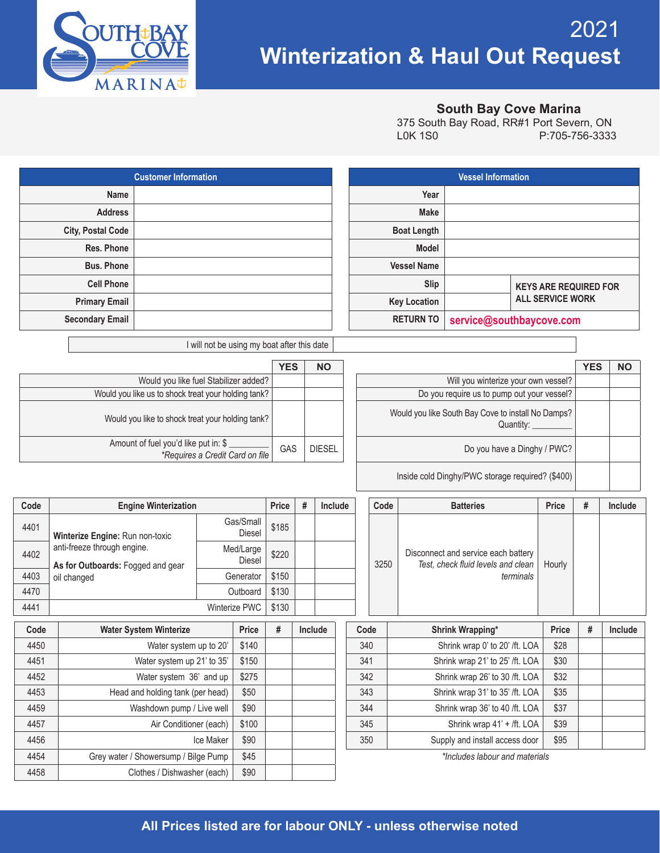

4458 | Clothes / Dishwasher (each) | \$90

## 2021 **Winterization & Haul Out Request**

## **South Bay Cove Marina**

| 375 South Bay Road, RR#1 Port Severn, ON |                |
|------------------------------------------|----------------|
| LOK 1SO                                  | P:705-756-3333 |

|                                     |                                                                         | <b>Customer Information</b>                                                                            |                                             |                     |            |         |               |      |                                              |                  |                                 | <b>Vessel Information</b>                                                 |        |                |                                                         |           |  |  |
|-------------------------------------|-------------------------------------------------------------------------|--------------------------------------------------------------------------------------------------------|---------------------------------------------|---------------------|------------|---------|---------------|------|----------------------------------------------|------------------|---------------------------------|---------------------------------------------------------------------------|--------|----------------|---------------------------------------------------------|-----------|--|--|
|                                     | Name                                                                    |                                                                                                        |                                             |                     |            |         |               |      |                                              |                  | Year                            |                                                                           |        |                |                                                         |           |  |  |
|                                     | <b>Address</b>                                                          |                                                                                                        |                                             |                     |            |         |               |      |                                              |                  | <b>Make</b>                     |                                                                           |        |                |                                                         |           |  |  |
|                                     | <b>City, Postal Code</b>                                                |                                                                                                        |                                             |                     |            |         |               |      |                                              |                  | <b>Boat Length</b>              |                                                                           |        |                |                                                         |           |  |  |
|                                     | Res. Phone                                                              |                                                                                                        |                                             |                     |            |         |               |      |                                              |                  | <b>Model</b>                    |                                                                           |        |                |                                                         |           |  |  |
|                                     | <b>Bus. Phone</b>                                                       |                                                                                                        |                                             |                     |            |         |               |      |                                              |                  | <b>Vessel Name</b>              |                                                                           |        |                |                                                         |           |  |  |
|                                     | <b>Cell Phone</b>                                                       |                                                                                                        |                                             |                     |            |         |               |      |                                              |                  | Slip                            |                                                                           |        |                |                                                         |           |  |  |
|                                     | <b>Primary Email</b>                                                    |                                                                                                        |                                             |                     |            |         |               |      | <b>Key Location</b>                          |                  |                                 |                                                                           |        |                | <b>KEYS ARE REQUIRED FOR</b><br><b>ALL SERVICE WORK</b> |           |  |  |
|                                     | <b>Secondary Email</b>                                                  |                                                                                                        |                                             |                     |            |         |               |      | <b>RETURN TO</b><br>service@southbaycove.com |                  |                                 |                                                                           |        |                |                                                         |           |  |  |
|                                     |                                                                         |                                                                                                        |                                             |                     |            |         |               |      |                                              |                  |                                 |                                                                           |        |                |                                                         |           |  |  |
|                                     |                                                                         |                                                                                                        | I will not be using my boat after this date |                     |            |         |               |      |                                              |                  |                                 |                                                                           |        |                |                                                         |           |  |  |
|                                     |                                                                         |                                                                                                        |                                             |                     | <b>YES</b> |         | <b>NO</b>     |      |                                              |                  |                                 |                                                                           |        |                | <b>YES</b>                                              | <b>NO</b> |  |  |
|                                     |                                                                         | Would you like fuel Stabilizer added?                                                                  |                                             |                     |            |         |               |      | Will you winterize your own vessel?          |                  |                                 |                                                                           |        |                |                                                         |           |  |  |
|                                     |                                                                         | Would you like us to shock treat your holding tank?                                                    |                                             |                     |            |         |               |      |                                              |                  |                                 | Do you require us to pump out your vessel?                                |        |                |                                                         |           |  |  |
|                                     |                                                                         | Would you like South Bay Cove to install No Damps?<br>Would you like to shock treat your holding tank? |                                             |                     |            |         |               |      |                                              |                  |                                 |                                                                           |        |                |                                                         |           |  |  |
|                                     |                                                                         |                                                                                                        | Quantity:                                   |                     |            |         |               |      |                                              |                  |                                 |                                                                           |        |                |                                                         |           |  |  |
|                                     | Amount of fuel you'd like put in: \$<br>*Requires a Credit Card on file |                                                                                                        |                                             |                     |            | GAS     | <b>DIESEL</b> |      | Do you have a Dinghy / PWC?                  |                  |                                 |                                                                           |        |                |                                                         |           |  |  |
|                                     |                                                                         |                                                                                                        |                                             |                     |            |         |               |      |                                              |                  |                                 |                                                                           |        |                |                                                         |           |  |  |
|                                     |                                                                         |                                                                                                        |                                             |                     |            |         |               |      |                                              |                  |                                 | Inside cold Dinghy/PWC storage required? (\$400)                          |        |                |                                                         |           |  |  |
| Code<br><b>Engine Winterization</b> |                                                                         |                                                                                                        | Price                                       | #                   | Include    |         |               | Code |                                              | <b>Batteries</b> |                                 | <b>Price</b>                                                              | #      | <b>Include</b> |                                                         |           |  |  |
| 4401                                |                                                                         |                                                                                                        |                                             | Gas/Small           | \$185      |         |               |      |                                              |                  |                                 |                                                                           |        |                |                                                         |           |  |  |
|                                     | Winterize Engine: Run non-toxic                                         |                                                                                                        |                                             | <b>Diesel</b>       |            |         |               |      |                                              |                  |                                 |                                                                           |        |                |                                                         |           |  |  |
| 4402                                | anti-freeze through engine.<br>As for Outboards: Fogged and gear        |                                                                                                        |                                             | Med/Large<br>Diesel | \$220      |         |               |      |                                              | 3250             |                                 | Disconnect and service each battery<br>Test, check fluid levels and clean | Hourly |                |                                                         |           |  |  |
| 4403                                | oil changed                                                             |                                                                                                        |                                             | Generator           | \$150      |         |               |      |                                              |                  |                                 | terminals                                                                 |        |                |                                                         |           |  |  |
| 4470                                |                                                                         |                                                                                                        |                                             | Outboard            | \$130      |         |               |      |                                              |                  |                                 |                                                                           |        |                |                                                         |           |  |  |
| 4441                                |                                                                         | Winterize PWC                                                                                          |                                             |                     | \$130      |         |               |      |                                              |                  |                                 |                                                                           |        |                |                                                         |           |  |  |
| Code                                |                                                                         | <b>Water System Winterize</b>                                                                          |                                             | Price               | #          | Include |               |      | Code                                         |                  |                                 | <b>Shrink Wrapping*</b>                                                   |        | <b>Price</b>   | #                                                       | Include   |  |  |
| 4450                                |                                                                         | Water system up to 20'                                                                                 |                                             | \$140               |            |         |               |      | 340                                          |                  |                                 | Shrink wrap 0' to 20' /ft. LOA                                            |        | \$28           |                                                         |           |  |  |
| 4451                                |                                                                         | Water system up 21' to 35'                                                                             |                                             | \$150               |            |         |               |      |                                              | 341              |                                 | Shrink wrap 21' to 25' /ft. LOA                                           |        | \$30           |                                                         |           |  |  |
| 4452                                |                                                                         | Water system 36' and up                                                                                |                                             | \$275               |            |         |               |      | 342                                          |                  |                                 | Shrink wrap 26' to 30 /ft. LOA                                            |        | \$32           |                                                         |           |  |  |
| 4453                                |                                                                         | Head and holding tank (per head)<br>\$50                                                               |                                             |                     |            |         |               | 343  |                                              |                  | Shrink wrap 31' to 35' /ft. LOA |                                                                           | \$35   |                |                                                         |           |  |  |
| 4459                                |                                                                         | Washdown pump / Live well<br>\$90                                                                      |                                             |                     |            |         |               |      | 344                                          |                  | Shrink wrap 36' to 40 /ft. LOA  |                                                                           | \$37   |                |                                                         |           |  |  |
| 4457                                |                                                                         | Air Conditioner (each)                                                                                 |                                             | \$100               |            |         |               |      | 345                                          |                  | Shrink wrap 41' + /ft. LOA      |                                                                           | \$39   |                |                                                         |           |  |  |
| 4456                                |                                                                         | \$90<br>Ice Maker                                                                                      |                                             |                     |            |         |               | 350  |                                              |                  | Supply and install access door  |                                                                           | \$95   |                |                                                         |           |  |  |
| 4454                                |                                                                         | Grey water / Showersump / Bilge Pump<br>\$45                                                           |                                             |                     |            |         |               |      |                                              |                  |                                 | *Includes labour and materials                                            |        |                |                                                         |           |  |  |